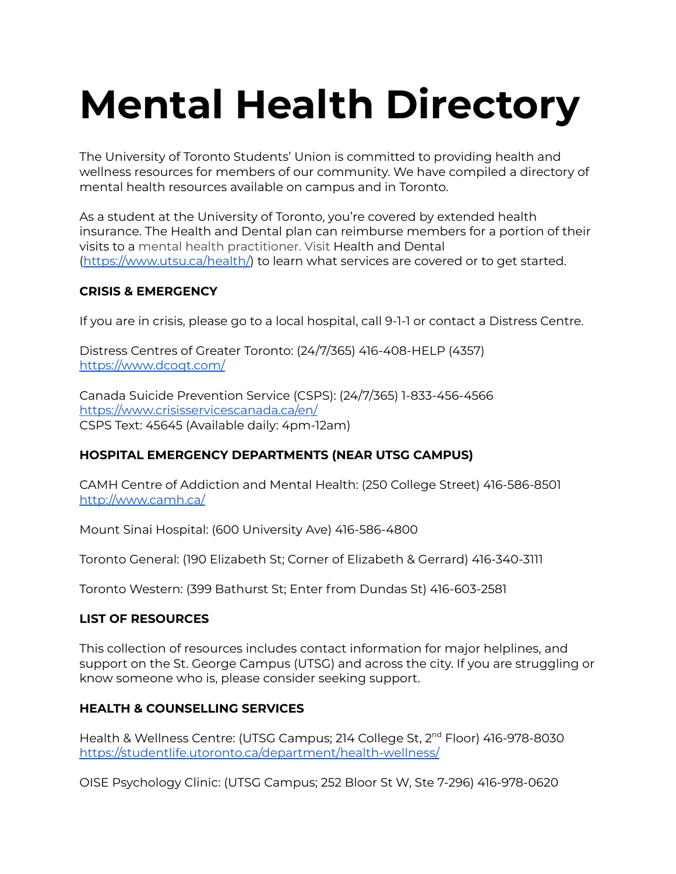# **Mental Health Directory**

The University of Toronto Students' Union is committed to providing health and wellness resources for members of our community. We have compiled a directory of mental health resources available on campus and in Toronto.

As a student at the University of Toronto, you're covered by extended health insurance. The Health and Dental plan can reimburse members for a portion of their visits to a mental health practitioner. Visit Health and Dental (<https://www.utsu.ca/health/>) to learn what services are covered or to get started.

# **CRISIS & EMERGENCY**

If you are in crisis, please go to a local hospital, call 9-1-1 or contact a Distress Centre.

Distress Centres of Greater Toronto: (24/7/365) 416-408-HELP (4357) <https://www.dcogt.com/>

Canada Suicide Prevention Service (CSPS): (24/7/365) 1-833-456-4566 <https://www.crisisservicescanada.ca/en/> CSPS Text: 45645 (Available daily: 4pm-12am)

# **HOSPITAL EMERGENCY DEPARTMENTS (NEAR UTSG CAMPUS)**

CAMH Centre of Addiction and Mental Health: (250 College Street) 416-586-8501 <http://www.camh.ca/>

Mount Sinai Hospital: (600 University Ave) 416-586-4800

Toronto General: (190 Elizabeth St; Corner of Elizabeth & Gerrard) 416-340-3111

Toronto Western: (399 Bathurst St; Enter from Dundas St) 416-603-2581

# **LIST OF RESOURCES**

This collection of resources includes contact information for major helplines, and support on the St. George Campus (UTSG) and across the city. If you are struggling or know someone who is, please consider seeking support.

# **HEALTH & COUNSELLING SERVICES**

Health & Wellness Centre: (UTSG Campus; 214 College St, 2<sup>nd</sup> Floor) 416-978-8030 <https://studentlife.utoronto.ca/department/health-wellness/>

OISE Psychology Clinic: (UTSG Campus; 252 Bloor St W, Ste 7-296) 416-978-0620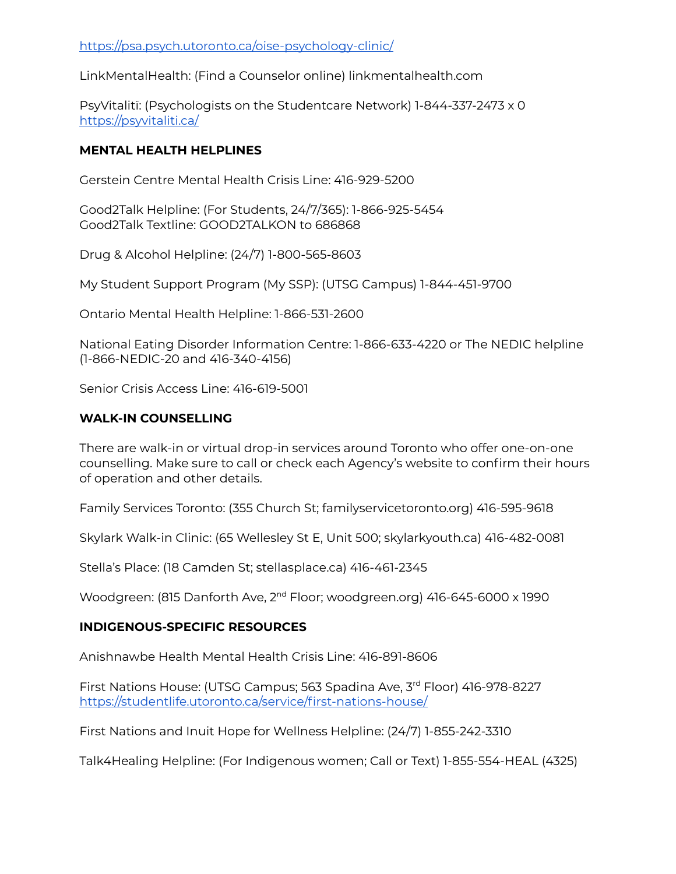LinkMentalHealth: (Find a Counselor online) linkmentalhealth.com

PsyVitalitï: (Psychologists on the Studentcare Network) 1-844-337-2473 x 0 <https://psyvitaliti.ca/>

# **MENTAL HEALTH HELPLINES**

Gerstein Centre Mental Health Crisis Line: 416-929-5200

Good2Talk Helpline: (For Students, 24/7/365): 1-866-925-5454 Good2Talk Textline: GOOD2TALKON to 686868

Drug & Alcohol Helpline: (24/7) 1-800-565-8603

My Student Support Program (My SSP): (UTSG Campus) 1-844-451-9700

Ontario Mental Health Helpline: 1-866-531-2600

National Eating Disorder Information Centre: 1-866-633-4220 or The NEDIC helpline (1-866-NEDIC-20 and 416-340-4156)

Senior Crisis Access Line: 416-619-5001

# **WALK-IN COUNSELLING**

There are walk-in or virtual drop-in services around Toronto who offer one-on-one counselling. Make sure to call or check each Agency's website to confirm their hours of operation and other details.

Family Services Toronto: (355 Church St; familyservicetoronto.org) 416-595-9618

Skylark Walk-in Clinic: (65 Wellesley St E, Unit 500; skylarkyouth.ca) 416-482-0081

Stella's Place: (18 Camden St; stellasplace.ca) 416-461-2345

Woodgreen: (815 Danforth Ave, 2<sup>nd</sup> Floor; woodgreen.org) 416-645-6000 x 1990

# **INDIGENOUS-SPECIFIC RESOURCES**

Anishnawbe Health Mental Health Crisis Line: 416-891-8606

First Nations House: (UTSG Campus; 563 Spadina Ave, 3 rd Floor) 416-978-8227 <https://studentlife.utoronto.ca/service/first-nations-house/>

First Nations and Inuit Hope for Wellness Helpline: (24/7) 1-855-242-3310

Talk4Healing Helpline: (For Indigenous women; Call or Text) 1-855-554-HEAL (4325)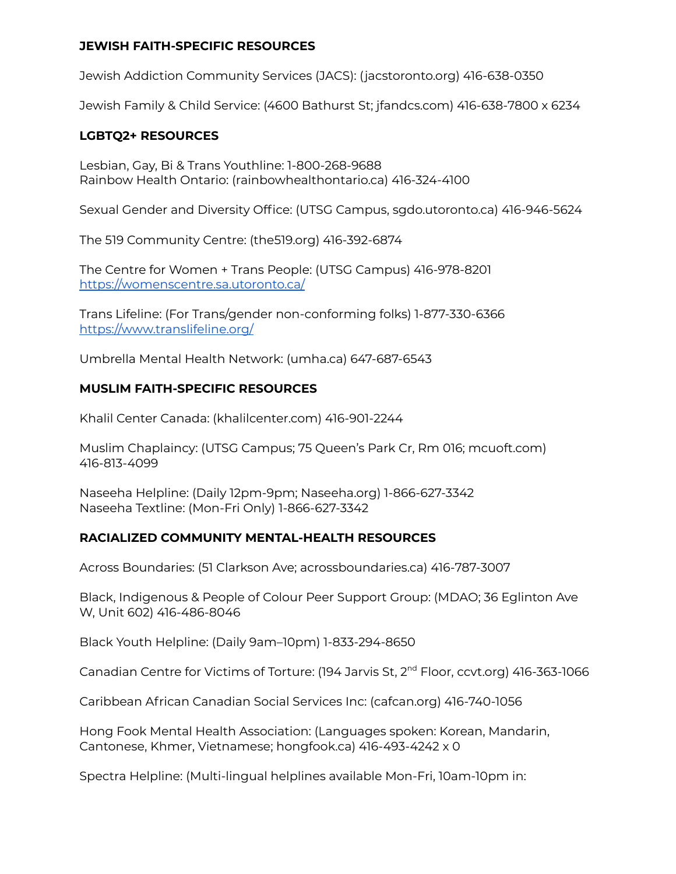#### **JEWISH FAITH-SPECIFIC RESOURCES**

Jewish Addiction Community Services (JACS): (jacstoronto.org) 416-638-0350

Jewish Family & Child Service: (4600 Bathurst St; jfandcs.com) 416-638-7800 x 6234

#### **LGBTQ2+ RESOURCES**

Lesbian, Gay, Bi & Trans Youthline: 1-800-268-9688 Rainbow Health Ontario: (rainbowhealthontario.ca) 416-324-4100

Sexual Gender and Diversity Office: (UTSG Campus, sgdo.utoronto.ca) 416-946-5624

The 519 Community Centre: (the519.org) 416-392-6874

The Centre for Women + Trans People: (UTSG Campus) 416-978-8201 <https://womenscentre.sa.utoronto.ca/>

Trans Lifeline: (For Trans/gender non-conforming folks) 1-877-330-6366 <https://www.translifeline.org/>

Umbrella Mental Health Network: (umha.ca) 647-687-6543

#### **MUSLIM FAITH-SPECIFIC RESOURCES**

Khalil Center Canada: (khalilcenter.com) 416-901-2244

Muslim Chaplaincy: (UTSG Campus; 75 Queen's Park Cr, Rm 016; mcuoft.com) 416-813-4099

Naseeha Helpline: (Daily 12pm-9pm; Naseeha.org) 1-866-627-3342 Naseeha Textline: (Mon-Fri Only) 1-866-627-3342

# **RACIALIZED COMMUNITY MENTAL-HEALTH RESOURCES**

Across Boundaries: (51 Clarkson Ave; acrossboundaries.ca) 416-787-3007

Black, Indigenous & People of Colour Peer Support Group: (MDAO; 36 Eglinton Ave W, Unit 602) 416-486-8046

Black Youth Helpline: (Daily 9am–10pm) 1-833-294-8650

Canadian Centre for Victims of Torture: (194 Jarvis St, 2<sup>nd</sup> Floor, ccvt.org) 416-363-1066

Caribbean African Canadian Social Services Inc: (cafcan.org) 416-740-1056

Hong Fook Mental Health Association: (Languages spoken: Korean, Mandarin, Cantonese, Khmer, Vietnamese; hongfook.ca) 416-493-4242 x 0

Spectra Helpline: (Multi-lingual helplines available Mon-Fri, 10am-10pm in: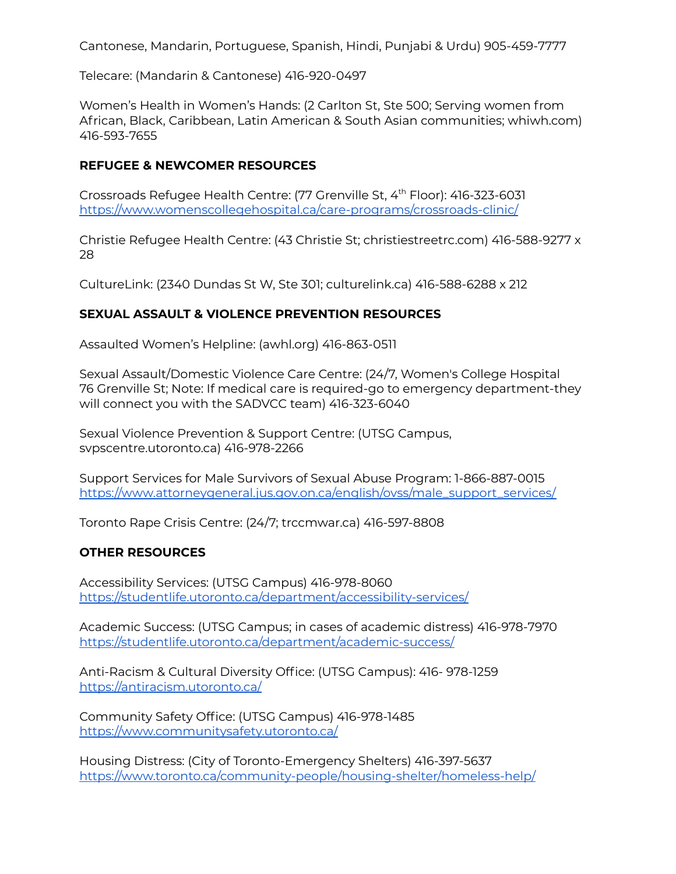Cantonese, Mandarin, Portuguese, Spanish, Hindi, Punjabi & Urdu) 905-459-7777

Telecare: (Mandarin & Cantonese) 416-920-0497

Women's Health in Women's Hands: (2 Carlton St, Ste 500; Serving women from African, Black, Caribbean, Latin American & South Asian communities; whiwh.com) 416-593-7655

#### **REFUGEE & NEWCOMER RESOURCES**

Crossroads Refugee Health Centre: (77 Grenville St, 4<sup>th</sup> Floor): 416-323-6031 <https://www.womenscollegehospital.ca/care-programs/crossroads-clinic/>

Christie Refugee Health Centre: (43 Christie St; christiestreetrc.com) 416-588-9277 x 28

CultureLink: (2340 Dundas St W, Ste 301; culturelink.ca) 416-588-6288 x 212

#### **SEXUAL ASSAULT & VIOLENCE PREVENTION RESOURCES**

Assaulted Women's Helpline: (awhl.org) 416-863-0511

Sexual Assault/Domestic Violence Care Centre: (24/7, Women's College Hospital 76 Grenville St; Note: If medical care is required-go to emergency department-they will connect you with the SADVCC team) 416-323-6040

Sexual Violence Prevention & Support Centre: (UTSG Campus, svpscentre.utoronto.ca) 416-978-2266

Support Services for Male Survivors of Sexual Abuse Program: 1-866-887-0015 [https://www.attorneygeneral.jus.gov.on.ca/english/ovss/male\\_support\\_services/](https://www.attorneygeneral.jus.gov.on.ca/english/ovss/male_support_services/)

Toronto Rape Crisis Centre: (24/7; trccmwar.ca) 416-597-8808

# **OTHER RESOURCES**

Accessibility Services: (UTSG Campus) 416-978-8060 <https://studentlife.utoronto.ca/department/accessibility-services/>

Academic Success: (UTSG Campus; in cases of academic distress) 416-978-7970 <https://studentlife.utoronto.ca/department/academic-success/>

Anti-Racism & Cultural Diversity Office: (UTSG Campus): 416- 978-1259 <https://antiracism.utoronto.ca/>

Community Safety Office: (UTSG Campus) 416-978-1485 <https://www.communitysafety.utoronto.ca/>

Housing Distress: (City of Toronto-Emergency Shelters) 416-397-5637 <https://www.toronto.ca/community-people/housing-shelter/homeless-help/>